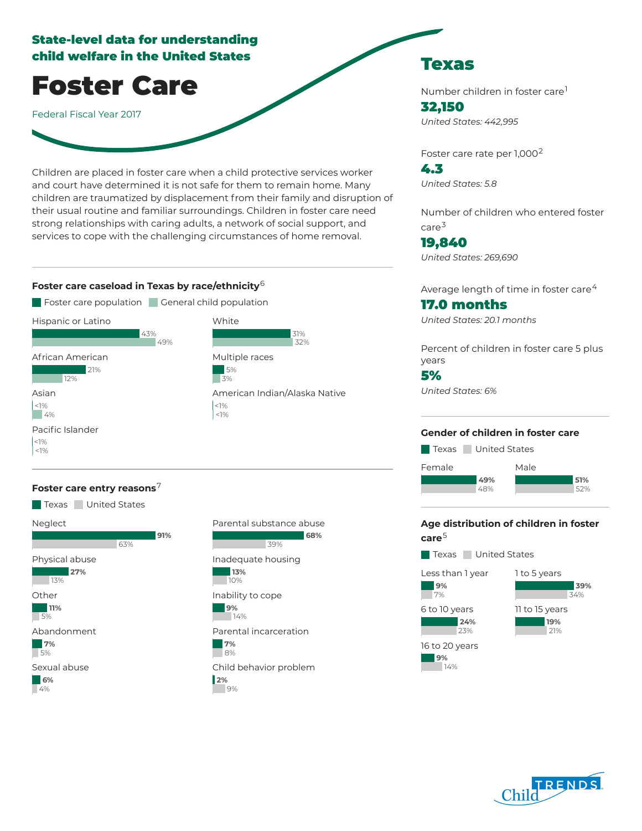# State-level data for understanding child welfare in the United States

Foster Care

Federal Fiscal Year 2017

Children are placed in foster care when a child protective services worker and court have determined it is not safe for them to remain home. Many children are traumatized by displacement from their family and disruption of their usual routine and familiar surroundings. Children in foster care need strong relationships with caring adults, a network of social support, and services to cope with the challenging circumstances of home removal.

#### **Foster care caseload in Texas by race/ethnicity** 6



### **Foster care entry reasons** 7





Texas

Number children in foster care 1 32,150 *United States: 442,995*

Foster care rate per 1,000<sup>2</sup>

4.3 *United States: 5.8*

Number of children who entered foster care 3

19,840 *United States: 269,690*

Average length of time in foster care $^4\,$ 

## 17.0 months

*United States: 20.1 months*

Percent of children in foster care 5 plus years

## 5%

*United States: 6%*

#### **Gender of children in foster care**

Texas United States



## **Age distribution of children in foster care** 5

Texas United States

Less than 1 year **9%** 7% 6 to 10 years **24%** 23% 16 to 20 years

**9%** 14%